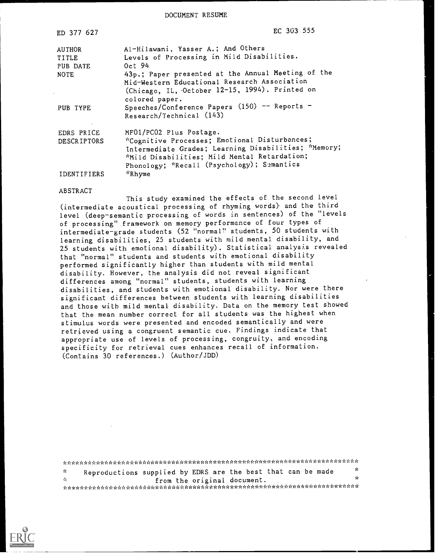DOCUMENT RESUME

| ED 377 627         | EC 303 555                                                       |
|--------------------|------------------------------------------------------------------|
| AUTHOR             | Al-Hilawani, Yasser A.; And Others                               |
| TITLE              | Levels of Processing in Mild Disabilities.                       |
| PUB DATE           | Oct $94$                                                         |
| <b>NOTE</b>        | 43p.; Paper presented at the Annual Meeting of the               |
|                    | Mid-Western Educational Research Association                     |
|                    | (Chicago, IL, October 12-15, 1994). Printed on<br>colored paper. |
| PUB TYPE           | Speeches/Conference Papers (150) -- Reports -                    |
|                    | Research/Technical (143)                                         |
| EDRS PRICE         | MF01/PC02 Plus Postage.                                          |
| <b>DESCRIPTORS</b> | *Cognitive Processes; Emotional Disturbances;                    |
|                    | Intermediate Grades; Learning Disabilities; *Memory;             |
|                    | *Mild Disabilities; Mild Mental Retardation;                     |
|                    | Phonology; *Recall (Psychology); Semantics                       |
| IDENTIFIERS        | *Rhyme                                                           |

#### ABSTRACT

This study examined the effects of the second level (intermediate acoustical processing of rhyming words) and the third level (deep-semantic processing of words in sentences) of the "levels of processing" framework on memory performance of four types of intermediate-grade students (52 "normal" students, 50 students with learning disabilities, 25 students with mild mental disability, and 25 students with emotional disability). Statistical analysis revealed that "normal" students and students with emotional disability performed significantly higher than students with mild mental disability. However, the analysis did not reveal significant differences among "normal" students, students with learning disabilities, and students with emotional disability. Nor were there significant differences between students with learning disabilities and those with mild mental disability. Data on the memory test showed that the mean number correct for all students was the highest when stimulus words were presented and encoded semantically and were retrieved using a congruent semantic cue. Findings indicate that appropriate use of levels of processing, congruity, and encoding specificity for retrieval cues enhances recall of information. (Contains 30 references.) (Author/JDD)

Reproductions supplied by EDRS are the best that can be made  $\frac{x}{x}$  $\frac{d}{dt}$ from the original document. \* \*\*\*\*\*\*\*\*\*\*\* ,\*\*\*\*\*\*\*\*\*\*\*\*\*\*\*\*\*\*\*\*\*\*\*\*\*\*\*\*\*\*\*\*\*\*\*\*\*\*\*\*\*\*\*\*\*\*\*\*\*\*\*\*\*\*\*

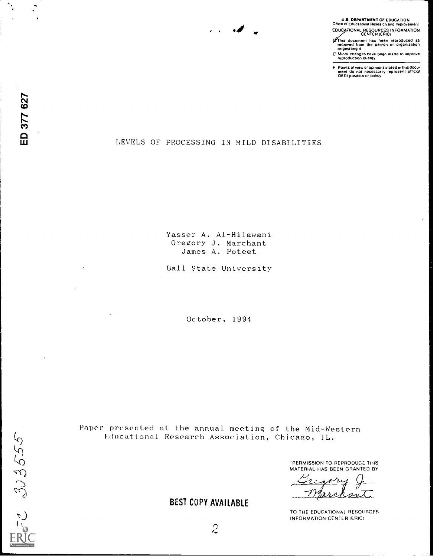# U.S. DEPARTMENT OF EDUCATION Othce Ot Educational Research and Improvement EDUCATIONAL RESOURCES INFORMATION<br>CENTER (ERIC)

This document has been reproduced as<br>received from the peison or organization<br>originating it

C Minor changes have been made to amprove reproduction gustily

Points of view or opinions stated in this docu-<br>ment ido inot inecessarily represent iofficial<br>OERI position or policy

## LEVELS OF PROCESSING IN MILD DISABILITIES

Mt

م.

Passer A. Al-Hilawani Gregory J. Marchant James A. Poteet

Ball State University

October, 1994

Paper presented at, the annual meeting of the Mid-Western Educational Research Association, Chicago, IL.

> -PERMISSION TO REPRODUCE THIS MATERIAL HAS BEEN GRANTED BY

Л. an

TO THE EDUCATIONAL RESOURCES INFORMATION CENTER (ERIC)

# BEST COPY AVAILABLE

 $\mathcal{L}$ 

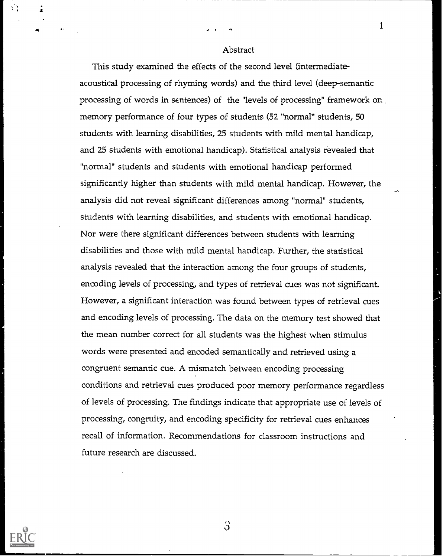#### Abstract

This study examined the effects of the second level (intermediateacoustical processing of rhyming words) and the third level (deep-semantic processing of words in sentences) of the "levels of processing" framework on memory performance of four types of students (52 "normal" students, 50 students with learning disabilities, 25 students with mild mental handicap, and 25 students with emotional handicap). Statistical analysis revealed that "normal" students and students with emotional handicap performed significantly higher than students with mild mental handicap. However, the analysis did not reveal significant differences among "normal" students, students with learning disabilities, and students with emotional handicap. Nor were there significant differences between students with learning disabilities and those with mild mental handicap. Further, the statistical analysis revealed that the interaction among the four groups of students, encoding levels of processing, and types of retrieval cues was not significant. However, a significant interaction was found between types of retrieval cues and encoding levels of processing. The data on the memory test showed that the mean number correct for all students was the highest when stimulus words were presented and encoded semantically and retrieved using a congruent semantic cue. A mismatch between encoding processing conditions and retrieval cues produced poor memory performance regardless of levels of processing. The findings indicate that appropriate use of levels of processing, congruity, and encoding specificity for retrieval cues enhances recall of information. Recommendations for classroom instructions and future research are discussed.



3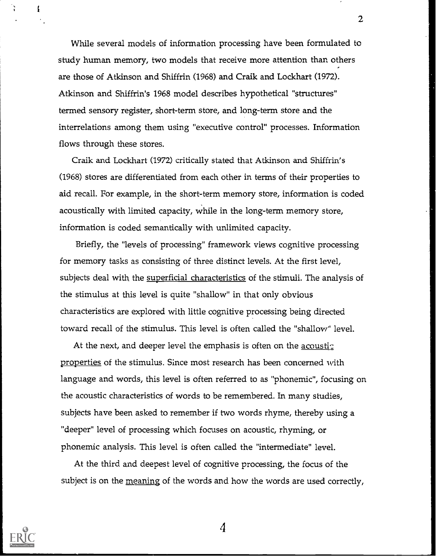While several models of information processing have been formulated to study human memory, two models that receive more attention than others are those of Atkinson and Shiffrin (1968) and Craik and Lockhart (1972). Atkinson and Shiffrin's 1968 model describes hypothetical "structures" termed sensory register, short-term store, and long-term store and the interrelations among them using "executive control" processes. Information flows through these stores.

Craik and Lockhart (1972) critically stated that Atkinson and Shiffrin's (1968) stores are differentiated from each other in terms of their properties to aid recall. For example, in the short-term memory store, information is coded acoustically with limited capacity, while in the long-term memory store, information is coded semantically with unlimited capacity.

Briefly, the "levels of processing" framework views cognitive processing for memory tasks as consisting of three distinct levels. At the first level, subjects deal with the superficial characteristics of the stimuli. The analysis of the stimulus at this level is quite "shallow" in that only obvious characteristics are explored with little cognitive processing being directed toward recall of the stimulus. This level is often called the "shallow" level.

At the next, and deeper level the emphasis is often on the acoustic properties of the stimulus. Since most research has been concerned with language and words, this level is often referred to as "phonemic", focusing on the acoustic characteristics of words to be remembered. In many studies, subjects have been asked to remember if two words rhyme, thereby using a "deeper" level of processing which focuses on acoustic, rhyming, or phonemic analysis. This level is often called the "intermediate" level.

At the third and deepest level of cognitive processing, the focus of the subject is on the meaning of the words and how the words are used correctly,



f

4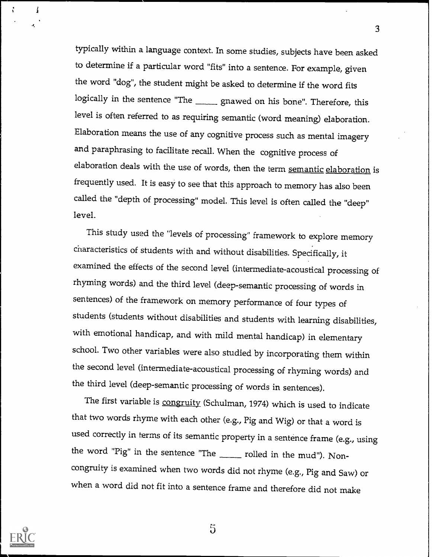typically within a language context. In some studies, subjects have been asked to determine if a particular word "fits" into a sentence. For example, given the word "dog", the student might be asked to determine if the word fits logically in the sentence "The gnawed on his bone". Therefore, this level is often referred to as requiring semantic (word meaning) elaboration. Elaboration means the use of any cognitive process such as mental imagery and paraphrasing to facilitate recall. When the cognitive process of elaboration deals with the use of words, then the term semantic elaboration is frequently used. It is easy to see that this approach to memory has also been called the "depth of processing" model. This level is often called the "deep" level.

3

This study used the "levels of processing" framework to explore memory characteristics of students with and without disabilities. Specifically, it examined the effects of the second level (intermediate acoustical processing of rhyming words) and the third level (deep-semantic processing of words in sentences) of the framework on memory performance of four types of students (students without disabilities and students with learning disabilities, with emotional handicap, and with mild mental handicap) in elementary school. Two other variables were also studied by incorporating them within the second level (intermediate-acoustical processing of rhyming words) and the third level (deep-semantic processing of words in sentences).

The first variable is congruity (Schulman, 1974) which is used to indicate that two words rhyme with each other (e.g., Pig and Wig) or that a word is used correctly in terms of its semantic property in a sentence frame (e.g., using the word "Pig" in the sentence "The  $\frac{1}{\sqrt{2\pi}}$  rolled in the mud"). Noncongruity is examined when two words did not rhyme (e.g., Pig and Saw) or when a word did not fit into a sentence frame and therefore did not make



1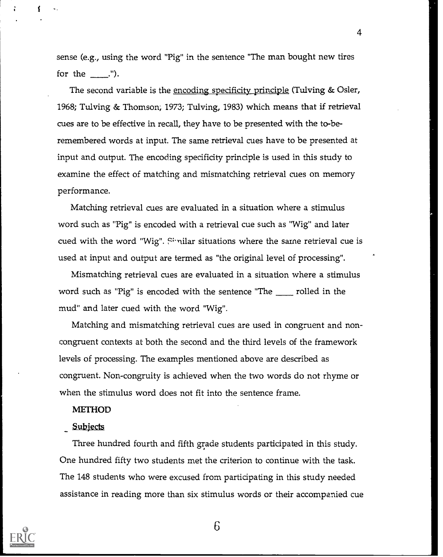sense (e.g., using the word "Pig" in the sentence "The man bought new tires for the  $\_\_\$ .").

The second variable is the encoding specificity principle (Tulving & Osler, 1968; Tulving & Thomson; 1973; Tulving, 1983) which means that if retrieval cues are to be effective in recall, they have to be presented with the to-beremembered words at input. The same retrieval cues have to be presented at input and output. The encoding specificity principle is used in this study to examine the effect of matching and mismatching retrieval cues on memory performance.

Matching retrieval cues are evaluated in a situation where a stimulus word such as "Pig" is encoded with a retrieval cue such as "Wig" and later cued with the word "Wig". Similar situations where the same retrieval cue is used at input and output are termed as "the original level of processing".

Mismatching retrieval cues are evaluated in a situation where a stimulus word such as "Pig" is encoded with the sentence "The  $\quad$  rolled in the mud" and later cued with the word "Wig".

Matching and mismatching retrieval cues are used in congruent and noncongruent contexts at both the second and the third levels of the framework levels of processing. The examples mentioned above are described as congruent. Non-congruity is achieved when the two words do not rhyme or when the stimulus word does not fit into the sentence frame.

#### METHOD

#### Subjects

Three hundred fourth and fifth grade students participated in this study. One hundred fifty two students met the criterion to continue with the task. The 148 students who were excused from participating in this study needed assistance in reading more than six stimulus words or their accompanied cue



6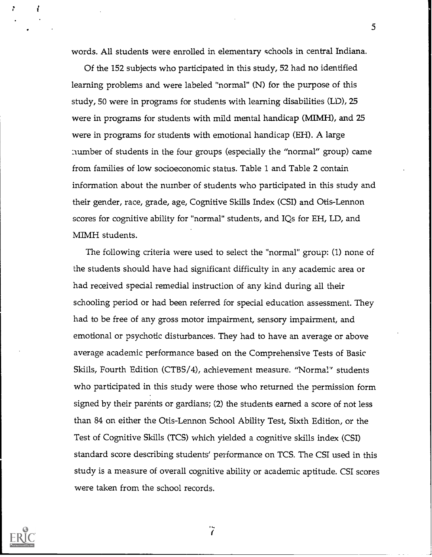words. All students were enrolled in elementary schools in central Indiana.

5

Of the 152 subjects who participated in this study, 52 had no identified learning problems and were labeled "normal" (N) for the purpose of this study, 50 were in programs for students with learning disabilities (LD), 25 were in programs for students with mild mental handicap (MIMH), and 25 were in programs for students with emotional handicap (EH). A large number of students in the four groups (especially the "normal" group) came from families of low socioeconomic status. Table 1 and Table 2 contain information about the number of students who participated in this study and their gender, race, grade, age, Cognitive Skills Index (CSI) and Otis-Lennon scores for cognitive ability for "normal" students, and IQs for EH, LD, and MIMH students.

The following criteria were used to select the "normal" group: (1) none of the students should have had significant difficulty in any academic area or had received special remedial instruction of any kind during all their schooling period or had been referred for special education assessment. They had to be free of any gross motor impairment, sensory impairment, and emotional or psychotic disturbances. They had to have an average or above average academic performance based on the Comprehensive Tests of Basic Skills, Fourth Edition (CTBS/4), achievement measure. "Normal" students who participated in this study were those who returned the permission form signed by their parents or gardians; (2) the students earned a score of not less than 84 on either the Otis-Lennon School Ability Test, Sixth Edition, or the Test of Cognitive Skills (TCS) which yielded a cognitive skills index (CSI) standard score describing students' performance on TCS. The CSI used in this study is a measure of overall cognitive ability or academic aptitude. CSI scores were taken from the school records.



 $\tilde{I}$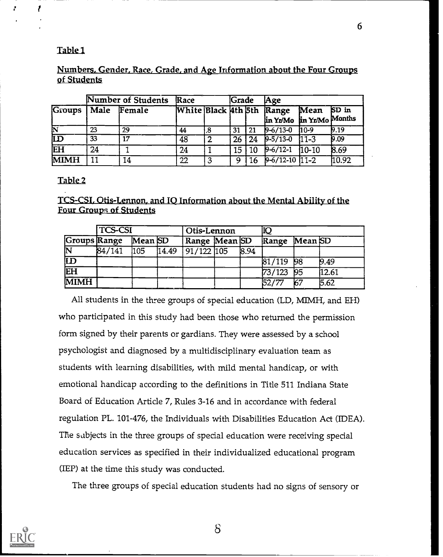# Table

# <u>Numbers, Gender, Race, Grade, and Age Information about the Four Groups</u> of Students

|               |      | Number of Students | Race |    | <b>Scrade</b>    |    | Age                                                   |         |         |
|---------------|------|--------------------|------|----|------------------|----|-------------------------------------------------------|---------|---------|
| <b>Groups</b> | Male | Female             |      |    |                  |    | White Black Ath 5th Range<br>in Yr/Mo in Yr/Mo Months | Mean    | $SD$ in |
| 区             | 23   | 29                 | 44   | .8 | 31               | 21 | $9 - 6/13 - 0$                                        | $10-9$  | 9.19    |
| ம             | 33   | 17                 | 48   | 2  | 26 <sub>1</sub>  | 24 | $9 - 5/13 - 0$                                        | $11-3$  | 0.09    |
| ĒH            | 24   |                    | 24   |    | 15 <sup>15</sup> | 10 | $9 - 6/12 - 1$                                        | $10-10$ | 8.69    |
| <b>MIMH</b>   | 11   | 14                 | 22   | 3  | Q                | 16 | $9-6/12-10$ 11-2                                      |         | 10.92   |

# Table 2

# TCS-CSI, Otis-Lennon, and IQ Information about the Mental Ability of the Four Groups of Students

|                         | <b>TCS-CSI</b> |         |       | Otis-Lennon          |  |      | ÌЮ            |       |       |
|-------------------------|----------------|---------|-------|----------------------|--|------|---------------|-------|-------|
| Groups Range            |                | Mean SD |       | Range Mean SD        |  |      | Range Mean SD |       |       |
| $\overline{\mathbf{N}}$ | 84/141         | 105     | 14.49 | $\sqrt{91}/122$  105 |  | 8.94 |               |       |       |
| $\overline{\mathbf{D}}$ |                |         |       |                      |  |      | $81/119$ 98   |       | 9.49  |
| EH                      |                |         |       |                      |  |      | 73/123        | - 195 | 12.61 |
| <b>MIMH</b>             |                |         |       |                      |  |      | 52/77         | 67    | 5.62  |

All students in the three groups of special education (LD, MIMH, and EH) who participated in this study had been those who returned the permission form signed by their parents or gardians. They were assessed by a school psychologist and diagnosed by a multidisciplinary evaluation team as students with learning disabilities, with mild mental handicap, or with emotional handicap according to the definitions in Title 511 Indiana State Board of Education Article 7, Rules 3-16 and in accordance with federal regulation PL. 101-476, the Individuals with Disabilities Education Act (IDEA). The subjects in the three groups of special education were receiving special education services as specified in their individualized educational program (IEP) at the time this study was conducted.

The three groups of special education students had no signs of sensory or



 $\delta$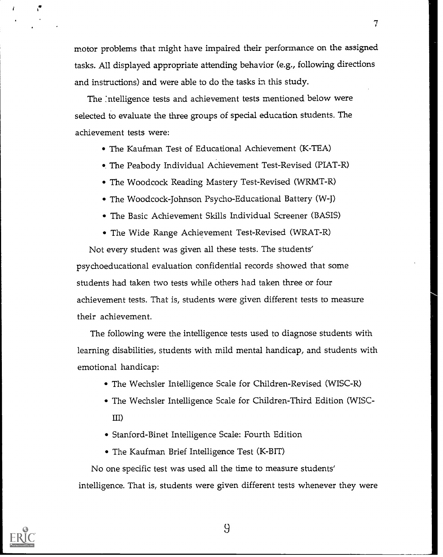motor problems that might have impaired their performance on the assigned tasks. All displayed appropriate attending behavior (e.g., following directions and instructions) and were able to do the tasks in this study.

7

The :ntelligence tests and achievement tests mentioned below were selected to evaluate the three groups of special education students. The achievement tests were:

- The Kaufman Test of Educational Achievement (K-TEA)
- The Peabody Individual Achievement Test-Revised (PIAT-R)
- The Woodcock Reading Mastery Test-Revised (WRMT-R)
- The Woodcock-Johnson Psycho-Educational Battery (W-J)
- The Basic Achievement Skills Individual Screener (BASIS)
- The Wide Range Achievement Test-Revised (WRAT-R)

Not every student was given all these tests. The students' psychoeducational evaluation confidential records showed that some students had taken two tests while others had taken three or four achievement tests. That is, students were given different tests to measure their achievement.

The following were the intelligence tests used to diagnose students with learning disabilities, students with mild mental handicap, and students with emotional handicap:

- The Wechsler Intelligence Scale for Children-Revised (WISC-R)
- The Wechsler Intelligence Scale for Children-Third Edition (WISC-III)
- Stanford-Binet Intelligence Scale: Fourth Edition
- The Kaufman Brief Intelligence Test (K-BIT)

No one specific test was used all the time to measure students' intelligence. That is, students were given different tests whenever they were



1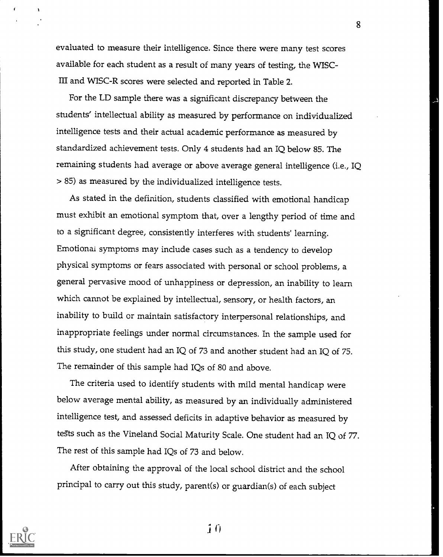evaluated to measure their intelligence. Since there were many test scores available for each student as a result of many years of testing, the WISC-III and WISC-R scores were selected and reported in Table 2.

8

For the LD sample there was a significant discrepancy between the students' intellectual ability as measured by performance on individualized intelligence tests and their actual academic performance as measured by standardized achievement tests. Only 4 students had an IQ below 85. The remaining students had average or above average general intelligence (i.e., IQ > 85) as measured by the individualized intelligence tests.

As stated in the definition, students classified with emotional handicap must exhibit an emotional symptom that, over a lengthy period of time and to a significant degree, consistently interferes with students' learning. Emotional symptoms may include cases such as a tendency to develop physical symptoms or fears associated with personal or school problems, a general pervasive mood of unhappiness or depression, an inability to learn which cannot be explained by intellectual, sensory, or health factors, an inability to build or maintain satisfactory interpersonal relationships, and inappropriate feelings under normal circumstances. In the sample used for this study, one student had an IQ of 73 and another student had an IQ of 75. The remainder of this sample had IQs of 80 and above.

The criteria used to identify students with mild mental handicap were below average mental ability, as measured by an individually administered intelligence test, and assessed deficits in adaptive behavior as measured by tests such as the Vineland Social Maturity Scale. One student had an IQ of 77. The rest of this sample had IQs of 73 and below.

After obtaining the approval of the local school district and the school principal to carry out this study, parent(s) or guardian(s) of each subject



 $\overline{1}$   $\overline{0}$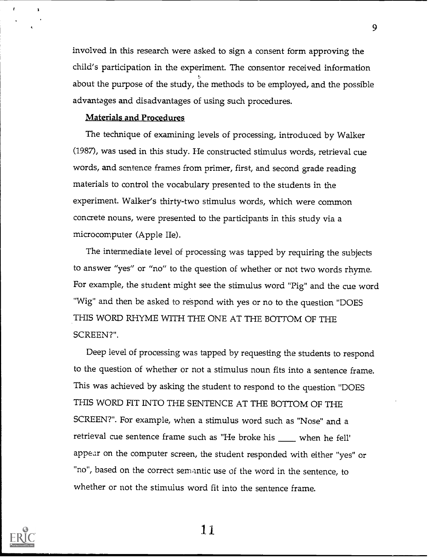involved in this research were asked to sign a consent form approving the child's participation in the experiment. The consentor received information about the purpose of the study, the methods to be employed, and the possible advantages and disadvantages of using such procedures.

#### Materials and Procedures

The technique of examining levels of processing, introduced by Walker (1987), was used in this study. He constructed stimulus words, retrieval cue words, and sentence frames from primer, first, and second grade reading materials to control the vocabulary presented to the students in the experiment. Walker's thirty-two stimulus words, which were common concrete nouns, were presented to the participants in this study via a microcomputer (Apple He).

The intermediate level of processing was tapped by requiring the subjects to answer "yes" or "no" to the question of whether or not two words rhyme. For example, the student might see the stimulus word "Pig" and the cue word "Wig" and then be asked to respond with yes or no to the question "DOES THIS WORD RHYME WITH THE ONE AT THE BOTTOM OF THE SCREEN?".

Deep level of processing was tapped by requesting the students to respond to the question of whether or not a stimulus noun fits into a sentence frame. This was achieved by asking the student to respond to the question "DOES THIS WORD FIT INTO THE SENTENCE AT THE BOTTOM OF THE SCREEN?". For example, when a stimulus word such as "Nose" and a retrieval cue sentence frame such as "He broke his when he fell' appear on the computer screen, the student responded with either "yes" or "no", based on the correct semantic use of the word in the sentence, to whether or not the stimulus word fit into the sentence frame.



 $\mathbf{f}$ 

 $\mathbf{r}$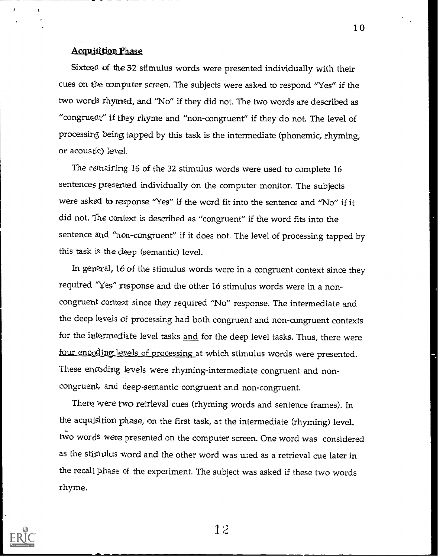# Acquisition Phase

Sixteen of the 32 stimulus words were presented individually with their cues on the computer screen. The subjects were asked to respond "Yes" if the two words rhymed, and "No" if they did not. The two words are described as "congruent' if they rhyme and "non-congruent" if they do not. The level of processing being tapped by this task is the intermediate (phonemic, rhyming, or acous tic) level.

The remaining 16 of the 32 stimulus words were used to complete 16 sentences presented individually on the computer monitor. The subjects were asked to response "Yes" if the word fit into the sentence and "No" if it did not. The context is described as "congruent" if the word fits into the sentence and "non-congruent" if it does not. The level of processing tapped by this task is the deep (semantic) level.

In general, 16 of the stimulus words were in a congruent context since they required "Yes" response and the other 16 stimulus words were in a noncongruent context since they required "No" response. The intermediate and the deep levels of processing had both congruent and non-congruent contexts for the intermediate level tasks and for the deep level tasks. Thus, there were four encoding levels of processing at which stimulus words were presented. These encoding levels were rhyming-intermediate congruent and noncongruent, and deep-semantic congruent and non-congruent.

There were two retrieval cues (rhyming words and sentence frames). Ln the acquisition phase, on the first task, at the intermediate (rhyming) level. two words were presented on the computer screen. One word was considered as the stimulus word and the other word was used as a retrieval cue later in the recall phase of the experiment. The subject was asked if these two words rhyme.



12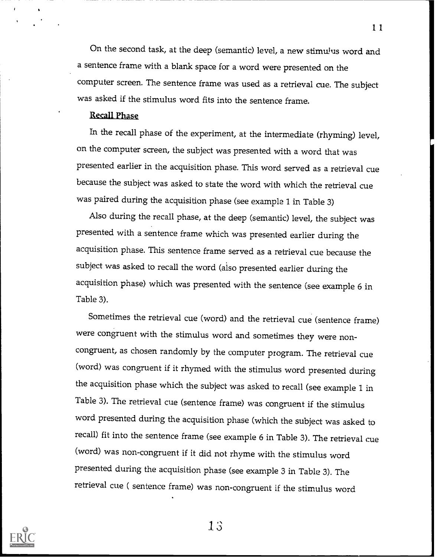On the second task, at the deep (semantic) level, a new stimulus word and a sentence frame with a blank space for a word were presented on the computer screen. The sentence frame was used as a retrieval cue. The subject was asked if the stimulus word fits into the sentence frame.

#### Recall Phase

In the recall phase of the experiment, at the intermediate (rhyming) level, on the computer screen, the subject was presented with a word that was presented earlier in the acquisition phase. This word served as a retrieval cue because the subject was asked to state the word with which the retrieval cue was paired during the acquisition phase (see example 1 in Table 3)

Also during the recall phase, at the deep (semantic) level, the subject was presented with a sentence frame which was presented earlier during the acquisition phase. This sentence frame served as a retrieval cue because the subject was asked to recall the word (also presented earlier during the acquisition phase) which was presented with the sentence (see example 6 in Table 3).

Sometimes the retrieval cue (word) and the retrieval cue (sentence frame) were congruent with the stimulus word and sometimes they were noncongruent, as chosen randomly by the computer program. The retrieval cue (word) was congruent if it rhymed with the stimulus word presented during the acquisition phase which the subject was asked to recall (see example 1 in Table 3). The retrieval cue (sentence frame) was congruent if the stimulus word presented during the acquisition phase (which the subject was asked to recall) fit into the sentence frame (see example 6 in Table 3). The retrieval cue (word) was non-congruent if it did not rhyme with the stimulus word presented during the acquisition phase (see example 3 in Table 3). The retrieval cue ( sentence frame) was non-congruent if the stimulus word

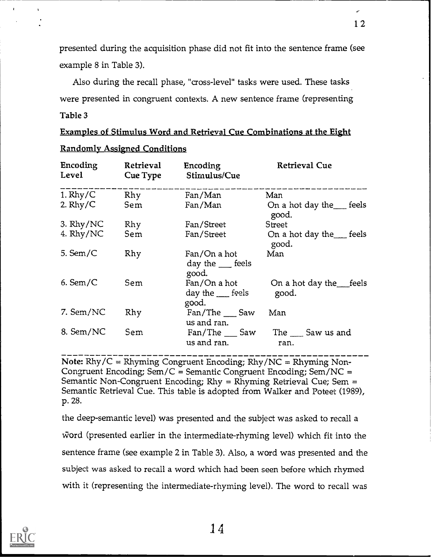presented during the acquisition phase did not fit into the sentence frame (see example 8 in Table 3).

Also during the recall phase, "cross-level" tasks were used. These tasks were presented in congruent contexts. A new sentence frame (representing Table 3

|  | <u>Examples of Stimulus Word and Retrieval Cue Combinations at the Eight</u> |  |
|--|------------------------------------------------------------------------------|--|
|  |                                                                              |  |

| Encoding<br>Level | Retrieval<br>Cue Type | Encoding<br>Stimulus/Cue                      | <b>Retrieval Cue</b>                     |
|-------------------|-----------------------|-----------------------------------------------|------------------------------------------|
| 1. $Rhy/C$        | Rhy                   | Fan/Man                                       | Man                                      |
| 2. $Rhy/C$        | Sem                   | Fan/Man                                       | On a hot day the feels<br>good.          |
| 3. $Rhy/NC$       | Rhy                   | Fan/Street                                    | Street                                   |
| 4. Rhy/NC         | Sem                   | Fan/Street                                    | On a hot day the $\equiv$ feels<br>good. |
| 5. Sem/ $\subset$ | Rhy                   | Fan/On a hot<br>day the $\_\_$ feels<br>good. | Man                                      |
| $6.$ Sem/C        | Sem                   | Fan/On a hot<br>day the $f$ feels<br>good.    | On a hot day the feels<br>good.          |
| 7. Sem/NC         | Rhy                   | Fan/The Saw<br>us and ran.                    | Man                                      |
| 8. Sem/NC         | Sem                   | Fan/The Saw<br>us and ran.                    | The Saw us and<br>ran.                   |

# Randomly Assigned Conditions

Note:  $Rhy/C = Rhyming Congruent Encoding; Rhy/NC = Rhyming Non-$ Congruent Encoding; Sem/C = Semantic Congruent Encoding; Sem/NC = Semantic Non-Congruent Encoding; Rhy = Rhyming Retrieval Cue; Sem = Semantic Retrieval Cue. This table is adopted from Walker and Poteet (1989), p. 28.

the deep-semantic level) was presented and the subject was asked to recall a word (presented earlier in the intermediate-rhyming level) which fit into the sentence frame (see example 2 in Table 3). Also, a word was presented and the subject was asked to recall a word which had been seen before which rhymed with it (representing the intermediate-rhyming level). The word to recall was



 $\pmb{\cdot}$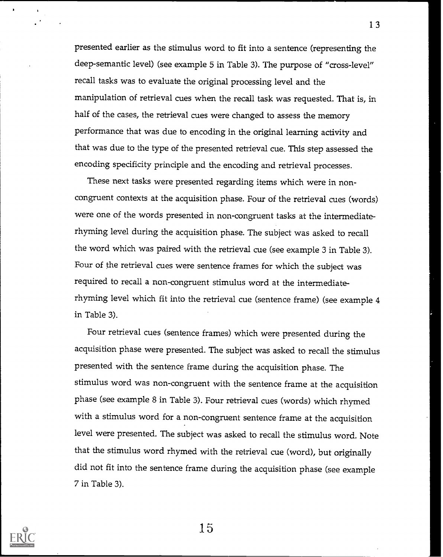presented earlier as the stimulus word to fit into a sentence (representing the deep-semantic level) (see example 5 in Table 3). The purpose of "cross-level" recall tasks was to evaluate the original processing level and the manipulation of retrieval cues when the recall task was requested. That is, in half of the cases, the retrieval cues were changed to assess the memory performance that was due to encoding in the original learning activity and that was due to the type of the presented retrieval cue. This step assessed the encoding specificity principle and the encoding and retrieval processes.

These next tasks were presented regarding items which were in noncongruent contexts at the acquisition phase. Four of the retrieval cues (words) were one of the words presented in non-congruent tasks at the intermediaterhyming level during the acquisition phase. The subject was asked to recall the word which was paired with the retrieval cue (see example 3 in Table 3). Four of the retrieval cues were sentence frames for which the subject was required to recall a non-congruent stimulus word at the intermediaterhyming level which fit into the retrieval cue (sentence frame) (see example 4 in Table 3).

Four retrieval cues (sentence frames) which were presented during the acquisition phase were presented. The subject was asked to recall the stimulus presented with the sentence frame during the acquisition phase. The stimulus word was non-congruent with the sentence frame at the acquisition phase (see example 8 in Table 3). Four retrieval cues (words) which rhymed with a stimulus word for a non-congruent sentence frame at the acquisition level were presented. The subject was asked to recall the stimulus word. Note that the stimulus word rhymed with the retrieval cue (word), but originally did not fit into the sentence frame during the acquisition phase (see example 7 in Table 3).



15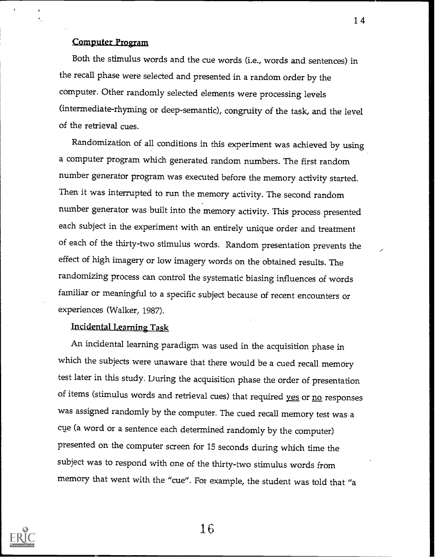# Computer Program

Both the stimulus words and the cue words (i.e., words and sentences) in the recall phase were selected and presented in a random order by the computer. Other randomly selected elements were processing levels (intermediate-rhyming or deep-semantic), congruity of the task, and the level of the retrieval cues.

Randomization of all conditions in this experiment was achieved by using a computer program which generated random numbers. The first random number generator program was executed before the memory activity started. Then it was interrupted to run the memory activity. The second random number generator was built into the memory activity. This process presented each subject in the experiment with an entirely unique order and treatment of each of the thirty-two stimulus words. Random presentation prevents the effect of high imagery or low imagery words on the obtained results. The randomizing process can control the systematic biasing influences of words familiar or meaningful to a specific subject because of recent encounters or experiences (Walker, 1987).

# Incidental Learning Task

An incidental learning paradigm was used in the acquisition phase in which the subjects were unaware that there would be a cued recall memory test later in this study. During the acquisition phase the order of presentation of items (stimulus words and retrieval cues) that required yes or no responses was assigned randomly by the computer. The cued recall memory test was a cue (a word or a sentence each determined randomly by the computer) presented on the computer screen for 15 seconds during which time the subject was to respond with one of the thirty-two stimulus words from memory that went with the "cue". For example, the student was told that "a



16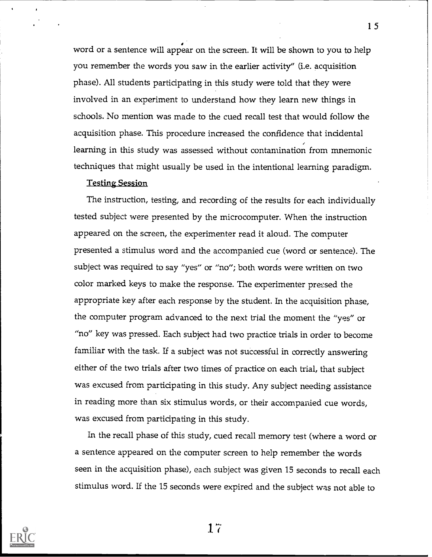word or a sentence will appear on the screen. It will be shown to you to help you remember the words you saw in the earlier activity" (i.e. acquisition phase). All students participating in this study were told that they were involved in an experiment to understand how they learn new things in schools. No mention was made to the cued recall test that would follow the acquisition phase. This procedure increased the confidence that incidental learning in this study was assessed without contamination from mnemonic techniques that might usually be used in the intentional learning paradigm.

#### Testing Session

The instruction, testing, and recording of the results for each individually tested subject were presented by the microcomputer. When the instruction appeared on the screen, the experimenter read it aloud. The computer presented a stimulus word and the accompanied cue (word or sentence). The subject was required to say "yes" or "no"; both words were written on two color marked keys to make the response. The experimenter pressed the appropriate key after each response by the student. In the acquisition phase, the computer program advanced to the next trial the moment the "yes" or "no" key was pressed. Each subject had two practice trials in order to become familiar with the task. If a subject was not successful in correctly answering either of the two trials after two times of practice on each trial, that subject was excused from participating in this study. Any subject needing assistance in reading more than six stimulus words, or their accompanied cue words, was excused from participating in this study.

In the recall phase of this study, cued recall memory test (where a word or a sentence appeared on the computer screen to help remember the words seen in the acquisition phase), each subject was given 15 seconds to recall each stimulus word. If the 15 seconds were expired and the subject was not able to



 $17$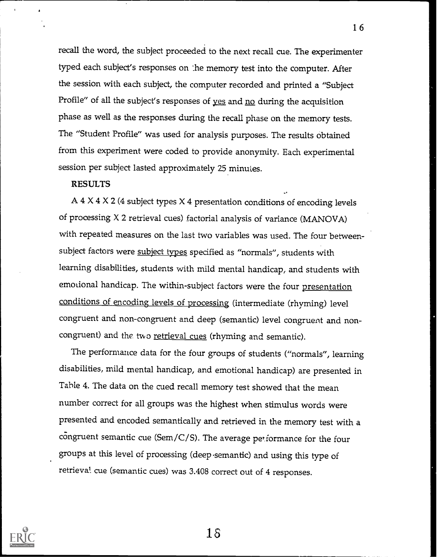recall the word, the subject proceeded to the next recall cue. The experimenter typed each subject's responses on the memory test into the computer. After the session with each subject, the computer recorded and printed a "Subject Profile" of all the subject's responses of yes and no during the acquisition phase as well as the responses during the recall phase on the memory tests. The "Student Profile" was used for analysis purposes. The results obtained from this experiment were coded to provide anonymity. Each experimental session per subject lasted approximately 25 minutes.

#### RESULTS

A 4  $\times$  4  $\times$  2 (4 subject types  $\times$  4 presentation conditions of encoding levels of processing X 2 retrieval cues) factorial analysis of variance (MANOVA) with repeated measures on the last two variables was used. The four betweensubject factors were subject types specified as "normals", students with learning disabilities, students with mild mental handicap, and students with emotional handicap. The within-subject factors were the four presentation conditions of encoding levels of processing (intermediate (rhyming) level congruent and non-congruent and deep (semantic) level congruent and noncongruent) and the two retrieval cues (rhyming and semantic).

The performance data for the four groups of students ("normals", learning disabilities, mild mental handicap, and emotional handicap) are presented in Table 4. The data on the cued recall memory test showed that the mean number correct for all groups was the highest when stimulus words were presented and encoded semantically and retrieved in the memory test with a congruent semantic cue (Sem/C/S). The average performance for the four groups at this level of processing (deep -semantic) and using this type of retrieval. cue (semantic cues) was 3.408 correct out of 4 responses.



15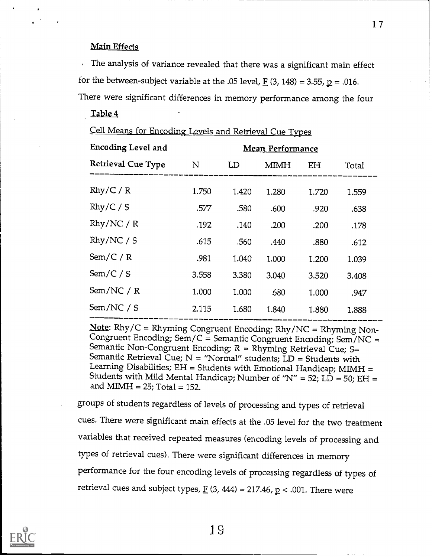## Main Effects

The analysis of variance revealed that there was a significant main effect for the between-subject variable at the .05 level,  $\underline{F}$  (3, 148) = 3.55,  $\underline{p}$  = .016. There were significant differences in memory performance among the four

Table 4

| Cell Means for Encoding Levels and Retrieval Cue Types |  |  |  |  |
|--------------------------------------------------------|--|--|--|--|
|                                                        |  |  |  |  |

| <b>Encoding Level and</b> |             |       | <b>Mean Performance</b> |       |       |
|---------------------------|-------------|-------|-------------------------|-------|-------|
| Retrieval Cue Type        | $\mathbf N$ | LD    | MIMH                    | EH    | Total |
| Rhy/C/R                   | 1.750       | 1.420 | 1.280                   | 1.720 | 1.559 |
| Rhy/C / S                 | .577        | .580  | .600                    | .920  | .638  |
| Rhy/NC / R                | .192        | .140  | .200                    | .200  | .178  |
| Rhy/NC / S                | .615        | .560  | .440                    | .880  | .612  |
| Sem/C/R                   | .981        | 1.040 | 1.000                   | 1.200 | 1.039 |
| Sem/C / S                 | 3.558       | 3.380 | 3.040                   | 3.520 | 3.408 |
| Sem/NC / R                | 1.000       | 1.000 | .580                    | 1.000 | .947  |
| Sem/NC / S                | 2.115       | 1.680 | 1.840                   | 1.880 | 1.888 |
|                           |             |       |                         |       |       |

Note: Rhy/C = Rhyming Congruent Encoding; Rhy/NC = Rhyming Non- Congruent Encoding; Sem/C = Semantic Congruent Encoding; Sem/NC = Semantic Non-Congruent Encoding;  $R = R$ hyming Retrieval Cue; S= Semantic Retrieval Cue;  $N =$  "Normal" students;  $LD =$  Students with Learning Disabilities; EH = Students with Emotional Handicap; MIMH = Students with Mild Mental Handicap; Number of " $N'' = 52$ ; LD = 50; EH = and MIMH =  $25$ ; Total = 152.

groups of students regardless of levels of processing and types of retrieval cues. There were significant main effects at the .05 level for the two treatment variables that received repeated measures (encoding levels of processing and types of retrieval cues). There were significant differences in memory performance for the four encoding levels of processing regardless of types of retrieval cues and subject types,  $E(3, 444) = 217.46$ ,  $p < .001$ . There were

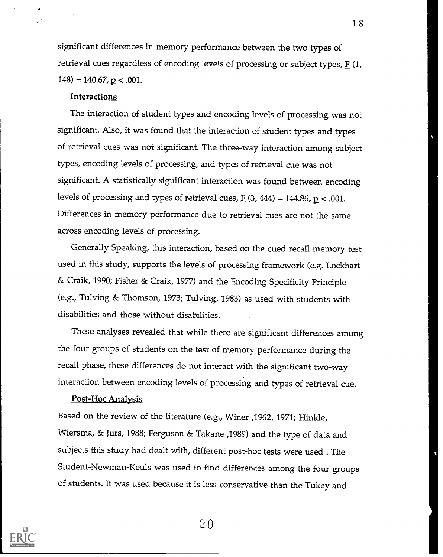significant differences in memory performance between the two types of retrieval cues regardless of encoding levels of processing or subject types,  $E(1, 1)$  $148$ ) = 140.67, p < .001.

## **Interactions**

The interaction of student types and encoding levels of processing was not significant. Also, it was found that the interaction of student types and types of retrieval cues was not significant. The three-way interaction among subject types, encoding levels of processing, and types of retrieval cue was not significant. A statistically significant interaction was found between encoding levels of processing and types of retrieval cues,  $E(3, 444) = 144.86$ ,  $p < .001$ . Differences in memory performance due to retrieval cues are not the same across encoding levels of processing.

Generally Speaking, this interaction, based on the cued recall memory test used in this study, supports the levels of processing framework (e.g. Lockhart & Craik, 1990; Fisher & Craik, 1977) and the Encoding Specificity Principle (e.g., Tulving & Thomson, 1973; Tulving, 1983) as used with students with disabilities and those without disabilities.

These analyses revealed that while there are significant differences among the four groups of students on the test of memory performance during the recall phase, these differences do not interact with the significant two-way interaction between encoding levels of processing and types of retrieval cue.

#### Post-Hoc Analysis

Based on the review of the literature (e.g., Winer ,1962, 1971; Hinkle, Wiersma, & Jurs, 1988; Ferguson & Takane ,1989) and the type of data and subjects this study had dealt with, different post-hoc tests were used . The Student-Newman-Keuls was used to find differences among the four groups of students. It was used because it is less conservative than the Tukey and



 $20$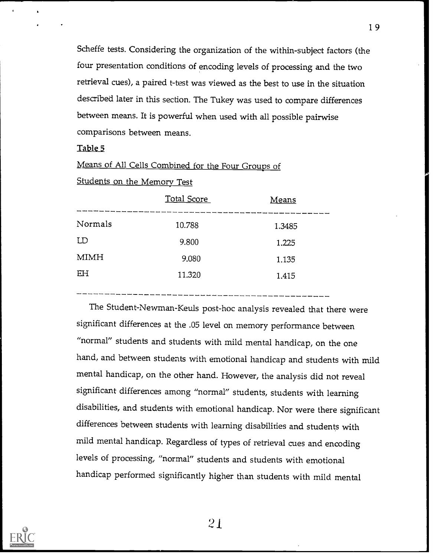Scheffe tests. Considering the organization of the within-subject factors (the four presentation conditions of encoding levels of processing and the two retrieval cues), a paired t-test was viewed as the best to use in the situation described later in this section. The Tukey was used to compare differences between means. It is powerful when used with all possible pairwise comparisons between means.

#### Table 5

Means of All Cells Combined for the Four Groups of

Students on the Memory Test

|         | Total Score | Means  |
|---------|-------------|--------|
| Normals | 10.788      | 1.3485 |
| LD      | 9.800       | 1.225  |
| MIMH    | 9.080       | 1.135  |
| EH      | 11.320      | 1.415  |

The Student-Newman-Keuls post-hoc analysis revealed that there were significant differences at the .05 level on memory performance between "normal" students and students with mild mental handicap, on the one hand, and between students with emotional handicap and students with mild mental handicap, on the other hand. However, the analysis did not reveal significant differences among "normal" students, students with learning disabilities, and students with emotional handicap. Nor were there significant differences between students with learning disabilities and students with mild mental handicap. Regardless of types of retrieval cues and encoding levels of processing, "normal" students and students with emotional handicap performed significantly higher than students with mild mental

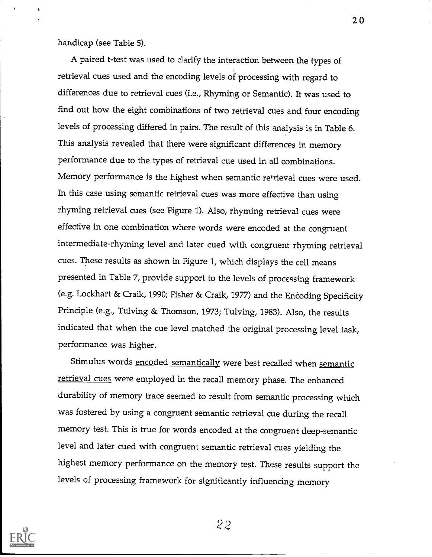handicap (see Table 5).

A paired t-test was used to clarify the interaction between the types of retrieval cues used and the encoding levels of processing with regard to differences due to retrieval cues (i.e., Rhyming or Semantic). It was used to find out how the eight combinations of two retrieval cues and four encoding levels of processing differed in pairs. The result of this analysis is in Table 6. This analysis revealed that there were significant differences in memory performance due to the types of retrieval cue used in all combinations. Memory performance is the highest when semantic retrieval cues were used. In this case using semantic retrieval cues was more effective than using rhyming retrieval cues (see Figure 1). Also, rhyming retrieval cues were effective in one combination where words were encoded at the congruent intermediate-rhyming level and later cued with congruent rhyming retrieval cues. These results as shown in Figure 1, which displays the cell means presented in Table 7, provide support to the levels of processing framework (e.g. Lockhart & Craik, 1990; Fisher & Craik, 1977) and the Encoding Specificity Principle (e.g., Tulving & Thomson, 1973; Tulving, 1983). Also, the results indicated that when the cue level matched the original processing level task, performance was higher.

Stimulus words encoded semantically were best recalled when semantic retrieval cues were employed in the recall memory phase. The enhanced durability of memory trace seemed to result from semantic processing which was fostered by using a congruent semantic retrieval cue during the recall memory test. This is true for words encoded at the congruent deep-semantic level and later cued with congruent semantic retrieval cues yielding the highest memory performance on the memory test. These results support the levels of processing framework for significantly influencing memory



22

 $2<sub>0</sub>$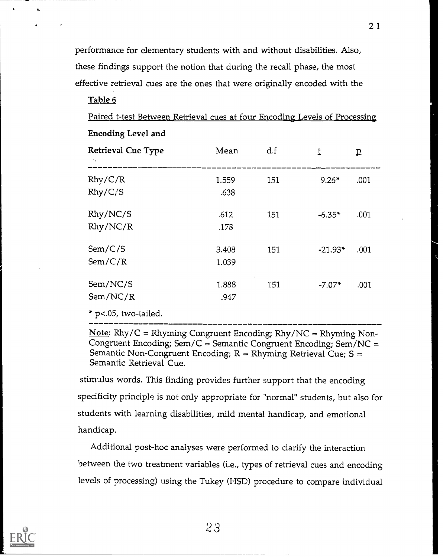performance for elementary students with and without disabilities. Also, these findings support the notion that during the recall phase, the most effective retrieval cues are the ones that were originally encoded with the

Table 6

Paired t-test Between Retrieval cues at four Encoding Levels of Processing Encoding Level and

| Retrieval Cue Type   | Mean           | d.f | t         | ₽    |  |
|----------------------|----------------|-----|-----------|------|--|
| Rhy/C/R<br>Rhy/C/S   | 1.559<br>.638  | 151 | $9.26*$   | .001 |  |
| Rhy/NC/S<br>Rhy/NC/R | .612<br>.178   | 151 | $-6.35*$  | .001 |  |
| Sem/C/S<br>Sem/C/R   | 3.408<br>1.039 | 151 | $-21.93*$ | .001 |  |
| Sem/NC/S<br>Sem/NC/R | 1.888<br>.947  | 151 | $-7.07*$  | .001 |  |

\* p<.05, two-tailed.

**Note:** Rhy/C = Rhyming Congruent Encoding; Rhy/NC = Rhyming Non-Congruent Encoding;  $Sem/C = Semantic Congruent Encoding; Sem/NC =$ Semantic Non-Congruent Encoding; R = Rhyming Retrieval Cue; S <sup>=</sup> Semantic Retrieval Cue.

stimulus words. This finding provides further support that the encoding specificity principle is not only appropriate for "normal" students, but also for students with learning disabilities, mild mental handicap, and emotional handicap.

Additional post-hoc analyses were performed to clarify the interaction between the two treatment variables (i.e., types of retrieval cues and encoding levels of processing) using the Tukey (HSD) procedure to compare individual

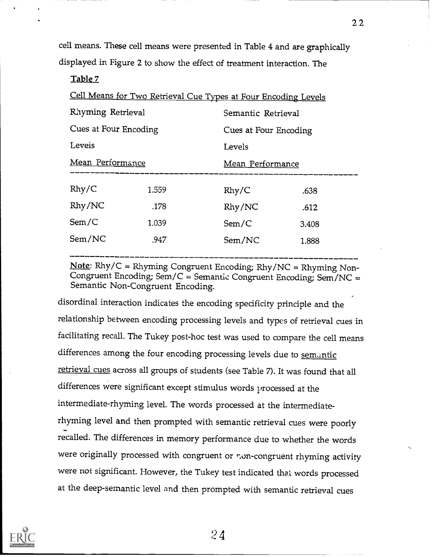cell means. These cell means were presented in Table 4 and are graphically displayed in Figure 2 to show the effect of treatment interaction. The

#### Table 7

| Cell Means for Two Retrieval Cue Types at Four Encoding Levels |       |        |                       |  |  |  |
|----------------------------------------------------------------|-------|--------|-----------------------|--|--|--|
| Rhyming Retrieval                                              |       |        | Semantic Retrieval    |  |  |  |
| Cues at Four Encoding                                          |       |        | Cues at Four Encoding |  |  |  |
| Leveis                                                         |       | Levels |                       |  |  |  |
| Mean Performance                                               |       |        | Mean Performance      |  |  |  |
| $R$ hy/ $C$                                                    | 1.559 | Rhy/C  | .638                  |  |  |  |
| Rhy/NC                                                         | .178  | Rhy/NC | .612                  |  |  |  |
| Sem/C                                                          | 1.039 | Sem/C  | 3.408                 |  |  |  |
| Sem/NC                                                         | .947  | Sem/NC | 1.888                 |  |  |  |

Note: Rhy/C = Rhyming Congruent Encoding; Rhy/NC = Rhyming Non- Congruent Encoding; Sem/C = Semantic Congruent Encoding; Sem/NC = Semantic Non-Congruent Encoding.

disordinal interaction indicates the encoding specificity principle and the relationship between encoding processing levels and types of retrieval cues in facilitating recall. The Tukey post-hoc test was used to compare the cell means differences among the four encoding processing levels due to semantic retrieval cues across all groups of students (see Table 7). It was found that all differences were significant except stimulus words processed at the intermediate-rhyming level. The words processed at the intermediaterhyming level and then prompted with semantic retrieval cues were poorly recalled. The differences in memory performance due to whether the words were originally processed with congruent or r.on-congruent rhyming activity were not significant. However, the Tukey test indicated that words processed at the deep-semantic level and then prompted with semantic retrieval cues

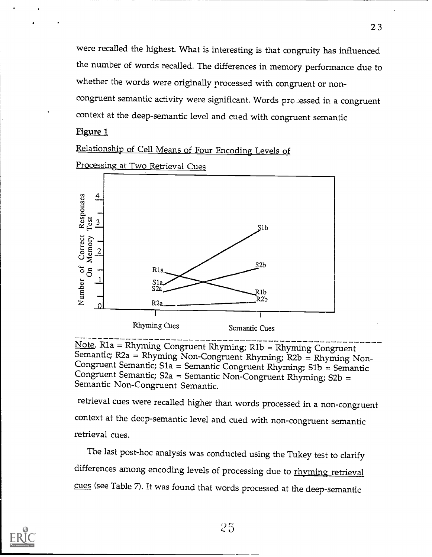were recalled the highest. What is interesting is that congruity has influenced the number of words recalled. The differences in memory performance due to whether the words were originally processed with congruent or noncongruent semantic activity were significant. Words pro \_essed in a congruent context at the deep-semantic level and cued with congruent semantic

# Figure 1

Relationship of Cell Means of Four Encoding Levels of



Processing at Two Retrieval Cues

Note. Rla = Rhyming Congruent Rhyming; Rib = Rhyming Congruent Semantic; R2a = Rhyming Non-Congruent Rhyming; R2b = Rhyming Non- Congruent Semantic; S1 a = Semantic Congruent Rhyming; Sib = Semantic Congruent Semantic; S2a = Semantic Non-Congruent Rhyming; S2b = Semantic Non-Congruent Semantic.

retrieval cues were recalled higher than words processed in a non-congruent context at the deep-semantic level and cued with non-congruent semantic retrieval cues.

The last post-hoc analysis was conducted using the Tukey test to clarify differences among encoding levels of processing due to rhyming retrieval cues (see Table 7). It was found that words processed at the deep-semantic

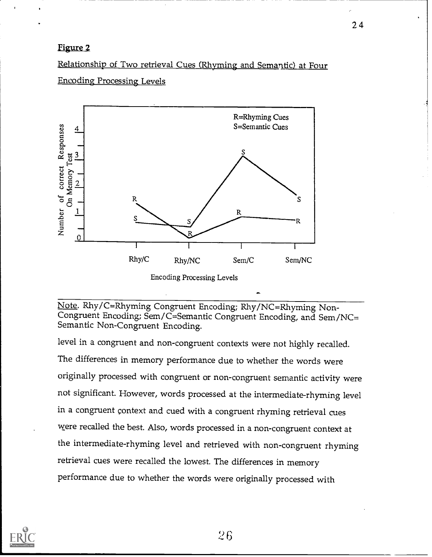# Figure 2

Relationship of Two retrieval Cues (Rhyming and Semantic) at Four Encoding Processing Levels



Note. Rhy/C=Rhyming Congruent Encoding; Rhy/NC=Rhyming Non-Congruent Encoding; Sem/C=Semantic Congruent Encoding, and Sem/NC= Semantic Non-Congruent Encoding.

level in a congruent and non-congruent contexts were not highly recalled. The differences in memory performance due to whether the words were originally processed with congruent or non-congruent semantic activity were not significant. However, words processed at the intermediate-rhyming level in a congruent context and cued with a congruent rhyming retrieval cues were recalled the best. Also, words processed in a non-congruent context at the intermediate-rhyming level and retrieved with non-congruent rhyming retrieval cues were recalled the lowest. The differences in memory performance due to whether the words were originally processed with

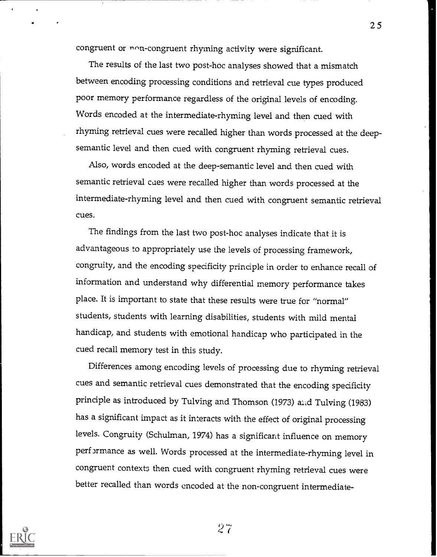congruent or non-congruent rhyming activity were significant.

The results of the last two post-hoc analyses showed that a mismatch between encoding processing conditions and retrieval cue types produced poor memory performance regardless of the original levels of encoding. Words encoded at the intermediate-rhyming level and then cued with rhyming retrieval cues were recalled higher than words processed at the deepsemantic level and then cued with congruent rhyming retrieval cues.

Also, words encoded at the deep-semantic level and then cued with semantic retrieval caes were recalled higher than words processed at the intermediate-rhyming level and then cued with congruent semantic retrieval cues.

The findings from the last two post-hoc analyses indicate that it is advantageous to appropriately use the levels of processing framework, congruity, and the encoding specificity principle in order to enhance recall of information and understand why differential memory performance takes place. It is important to state that these results were true for "normal" students, students with learning disabilities, students with mild mental handicap, and students with emotional handicap who participated in the cued recall memory test in this study.

Differences among encoding levels of processing due to rhyming retrieval cues and semantic retrieval cues demonstrated that the encoding specificity principle as introduced by Tulving and Thomson (1973) aiid Tulving (1983) has a significant impact as it interacts with the effect of original processing levels. Congruity (Schulman, 1974) has a significant influence on memory performance as well. Words processed at the intermediate-rhyming level in congruent contexts then cued with congruent rhyming retrieval cues were better recalled than words encoded at the non-congruent intermediate-



 $27$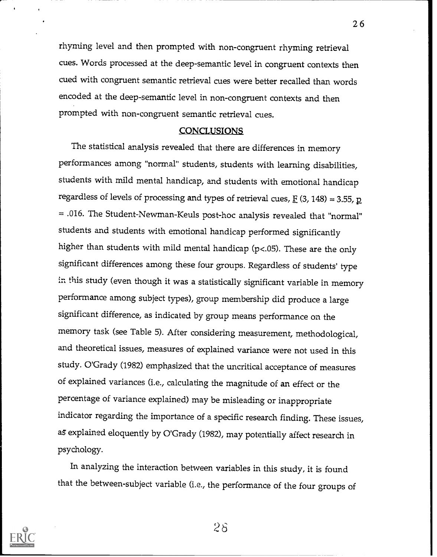rhyming level and then prompted with non-congruent rhyming retrieval cues. Words processed at the deep-semantic level in congruent contexts then cued with congruent semantic retrieval cues were better recalled than words encoded at the deep-semantic level in non-congruent contexts and then prompted with non-congruent semantic retrieval cues.

#### **CONCLUSIONS**

The statistical analysis revealed that there are differences in memory performances among "normal" students, students with learning disabilities, students with mild mental handicap, and students with emotional handicap regardless of levels of processing and types of retrieval cues,  $\underline{F}$  (3, 148) = 3.55,  $\underline{p}$ = .016. The Student-Newman-Keuls post-hoc analysis revealed that "normal" students and students with emotional handicap performed significantly higher than students with mild mental handicap (p<.05). These are the only significant differences among these four groups. Regardless of students' type in this study (even though it was a statistically significant variable in memory performance among subject types), group membership did produce a large significant difference, as indicated by group means performance on the memory task (see Table 5). After considering measurement, methodological, and theoretical issues, measures of explained variance were not used in this study. O'Grady (1982) emphasized that the uncritical acceptance of measures of explained variances (i.e., calculating the magnitude of an effect or the percentage of variance explained) may be misleading or inappropriate indicator regarding the importance of a specific research finding. These issues, as explained eloquently by O'Grady (1982), may potentially affect research in psychology.

In analyzing the interaction between variables in this study, it is found that the between-subject variable (i.e., the performance of the four groups of



 $2\delta$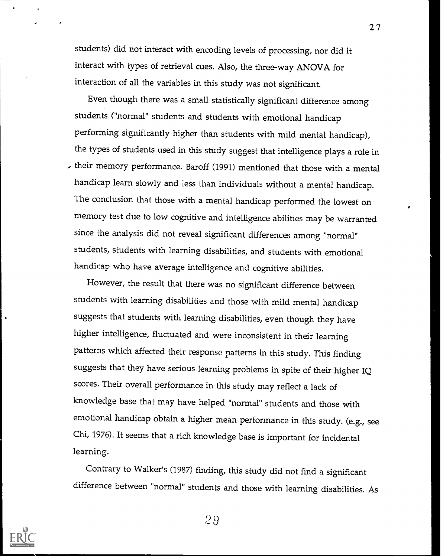students) did not interact with encoding levels of processing, nor did it interact with types of retrieval cues. Also, the three-way ANOVA for interaction of all the variables in this study was not significant.

Even though there was a small statistically significant difference among students ("normal" students and students with emotional handicap performing significantly higher than students with mild mental handicap), the types of students used in this study suggest that intelligence plays a role in , their memory performance. Baroff (1991) mentioned that those with a mental handicap learn slowly and less than individuals without a mental handicap. The conclusion that those with a mental handicap performed the lowest on memory test due to low cognitive and intelligence abilities may be warranted since the analysis did not reveal significant differences among "normal" students, students with learning disabilities, and students with emotional handicap who have average intelligence and cognitive abilities.

However, the result that there was no significant difference between students with learning disabilities and those with mild mental handicap suggests that students with learning disabilities, even though they have higher intelligence, fluctuated and were inconsistent in their learning patterns which affected their response patterns in this study. This finding suggests that they have serious learning problems in spite of their higher IQ scores. Their overall performance in this study may reflect a lack of knowledge base that may have helped "normal" students and those with emotional handicap obtain a higher mean performance in this study. (e.g., see Chi, 1976). It seems that a rich knowledge base is important for incidental learning.

Contrary to Walker's (1987) finding, this study did not find a significant difference between "normal" students and those with learning disabilities. As



2 9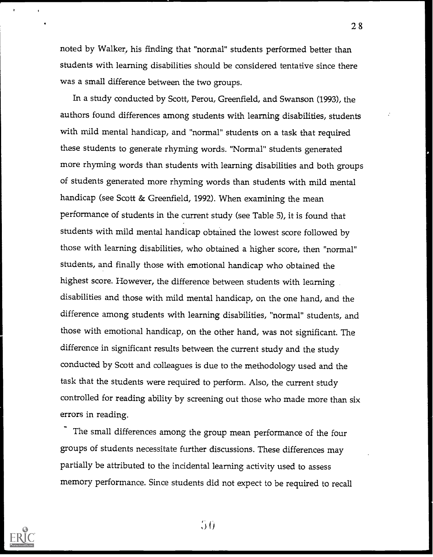noted by Walker, his finding that "normal" students performed better than students with learning disabilities should be considered tentative since there was a small difference between the two groups.

In a study conducted by Scott, Perou, Greenfield, and Swanson (1993), the authors found differences among students with learning disabilities, students with mild mental handicap, and "normal" students on a task that required these students to generate rhyming words. "Normal" students generated more rhyming words than students with learning disabilities and both groups of students generated more rhyming words than students with mild mental handicap (see Scott & Greenfield, 1992). When examining the mean performance of students in the current study (see Table 5), it is found that students with mild mental handicap obtained the lowest score followed by those with learning disabilities, who obtained a higher score, then "normal" students, and finally those with emotional handicap who obtained the highest score. However, the difference between students with learning disabilities and those with mild mental handicap, on the one hand, and the difference among students with learning disabilities, "normal" students, and those with emotional handicap, on the other hand, was not significant. The difference in significant results between the current study and the study conducted by Scott and colleagues is due to the methodology used and the task that the students were required to perform. Also, the current study controlled for reading ability by screening out those who made more than six errors in reading.

The small differences among the group mean performance of the four groups of students necessitate further discussions. These differences may partially be attributed to the incidental learning activity used to assess memory performance. Since students did not expect to be required to recall



 $56$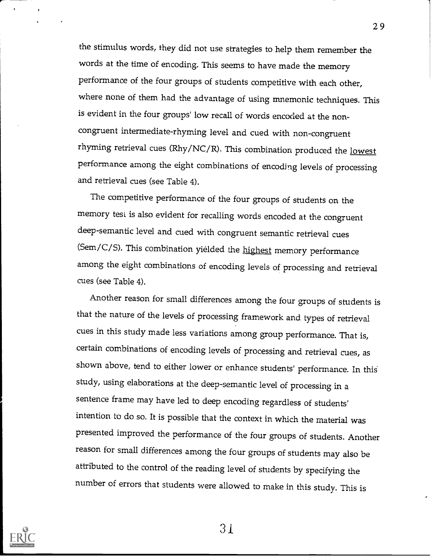the stimulus words, they did not use strategies to help them remember the words at the time of encoding. This seems to have made the memory performance of the four groups of students competitive with each other, where none of them had the advantage of using mnemonic techniques. This is evident in the four groups' low recall of words encoded at the noncongruent intermediate-rhyming level and cued with non-congruent rhyming retrieval cues (Rhy/NC/R). This combination produced the lowest performance among the eight combinations of encoding levels of processing and retrieval cues (see Table 4).

The competitive performance of the four groups of students on the memory test is also evident for recalling words encoded at the congruent deep-semantic level and cued with congruent semantic retrieval cues (Sem/C/S). This combination yielded the highest memory performance among the eight combinations of encoding levels of processing and retrieval cues (see Table 4).

Another reason for small differences among the four groups of students is that the nature of the levels of processing framework and types of retrieval cues in this study made less variations among group performance. That is, certain combinations of encoding levels of processing and retrieval cues, as shown above, tend to either lower or enhance students' performance. In this study, using elaborations at the deep-semantic level of processing in <sup>a</sup> sentence frame may have led to deep encoding regardless of students' intention to do so. It is possible that the context in which the material was presented improved the performance of the four groups of students. Another reason for small differences among the four groups of students may also be attributed to the control of the reading level of students by specifying the number of errors that students were allowed to make in this study. This is



31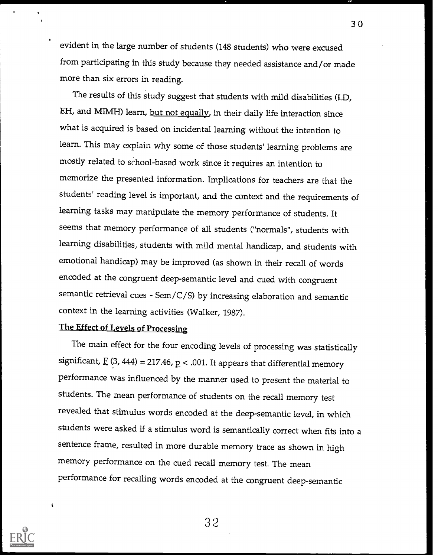evident in the large number of students (148 students) who were excused from participating in this study because they needed assistance and/or made more than six errors in reading.

The results of this study suggest that students with mild disabilities (LD, EH, and MIMH) learn, but not equally, in their daily life interaction since what is acquired is based on incidental learning without the intention to learn. This may explain why some of those students' learning problems are mostly related to school-based work since it requires an intention to memorize the presented information. Implications for teachers are that the students' reading level is important, and the context and the requirements of learning tasks may manipulate the memory performance of students. It seems that memory performance of all students ("normals", students with learning disabilities, students with mild mental handicap, and students with emotional handicap) may be improved (as shown in their recall of words encoded at the congruent deep-semantic level and cued with congruent semantic retrieval cues - Sem/C/S) by increasing elaboration and semantic context in the learning activities (Walker, 1987).

# The Effect of Levels of Processing

The main effect for the four encoding levels of processing was statistically significant,  $\underline{F}$  (3, 444) = 217.46,  $\underline{p}$  < .001. It appears that differential memory performance was influenced by the manner used to present the material to students. The mean performance of students on the recall memory test revealed that stimulus words encoded at the deep-semantic level, in which students were asked if a stimulus word is semantically correct when fits into <sup>a</sup> sentence frame, resulted in more durable memory trace as shown in high memory performance on the cued recall memory test. The mean performance for recalling words encoded at the congruent deep-semantic



32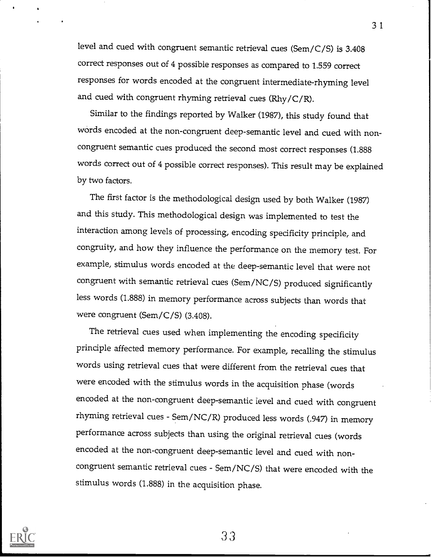level and cued with congruent semantic retrieval cues (Sem/C/S) is 3.408 correct responses out of 4 possible responses as compared to 1.559 correct responses for words encoded at the congruent intermediate-rhyming level and cued with congruent rhyming retrieval cues (Rhy/C/R).

Similar to the findings reported by Walker (1987), this study found that words encoded at the non-congruent deep-semantic level and cued with noncongruent semantic cues produced the second most correct responses (1.888 words correct out of 4 possible correct responses). This result may be explained by two factors.

The first factor is the methodological design used by both Walker (1987) and this study. This methodological design was implemented to test the interaction among levels of processing, encoding specificity principle, and congruity, and how they influence the performance on the memory test. For example, stimulus words encoded at the deep-semantic level that were not congruent with semantic retrieval cues (Sem/NC/S) produced significantly less words (1.888) in memory performance across subjects than words that were congruent (Sem/C/S) (3.408).

The retrieval cues used when implementing the encoding specificity principle affected memory performance. For example, recalling the stimulus words using retrieval cues that were different from the retrieval cues that were encoded with the stimulus words in the acquisition phase (words encoded at the non-congruent deep-semantic level and cued with congruent rhyming retrieval cues - Sem/NC/R) produced less words (.947) in memory performance across subjects than using the original retrieval cues (words encoded at the non-congruent deep-semantic level and cued with noncongruent semantic retrieval cues - Sem/NC/S) that were encoded with the stimulus words (1.888) in the acquisition phase.



33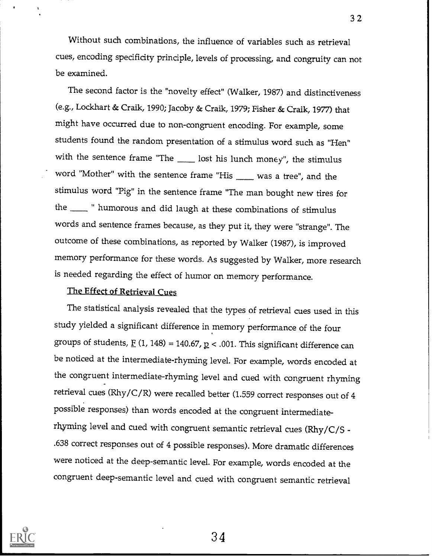Without such combinations, the influence of variables such as retrieval cues, encoding specificity principle, levels of processing, and congruity can not be examined.

The second factor is the "novelty effect" (Walker, 1987) and distinctiveness (e.g., Lockhart & Craik, 1990; Jacoby & Craik, 1979; Fisher & Craik, 1977) that might have occurred due to non-congruent encoding. For example, some students found the random presentation of a stimulus word such as "Hen" with the sentence frame "The  $\frac{1}{\sqrt{1-\frac{1}{n}}}$  lost his lunch money", the stimulus word "Mother" with the sentence frame "His was a tree", and the stimulus word "Pig" in the sentence frame "The man bought new tires for the \_\_\_\_\_\_ " humorous and did laugh at these combinations of stimulus words and sentence frames because, as they put it, they were "strange". The outcome of these combinations, as reported by Walker (1987), is improved memory performance for these words. As suggested by Walker, more research is needed regarding the effect of humor on memory performance.

# The Effect of Retrieval Cues

The statistical analysis revealed that the types of retrieval cues used in this study yielded a significant difference in memory performance of the four groups of students,  $\underline{F}$  (1, 148) = 140.67,  $\underline{p}$  < .001. This significant difference can be noticed at the intermediate-rhyming level. For example, words encoded at the congruent intermediate-rhyming level and cued with congruent rhyming retrieval cues (Rhy/C/R) were recalled better (1.559 correct responses out of 4 possible responses) than words encoded at the congruent intermediaterhyming level and cued with congruent semantic retrieval cues (Rhy/C/S - .638 correct responses out of 4 possible responses). More dramatic differences were noticed at the deep-semantic level. For example, words encoded at the congruent deep-semantic level and cued with congruent semantic retrieval



34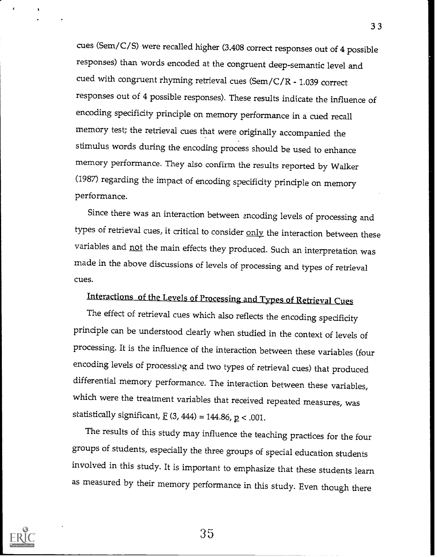cues (Sem/C/S) were recalled higher (3.408 correct responses out of 4 possible responses) than words encoded at the congruent deep-semantic level and cued with congruent rhyming retrieval cues (Sem/C/R - 1.039 correct responses out of 4 possible responses). These results indicate the influence of encoding specificity principle on memory performance in a cued recall memory test; the retrieval cues that were originally accompanied the stimulus words during the encoding process should be used to enhance memory performance. They also confirm the results reported by Walker (1987) regarding the impact of encoding specificity principle on memory performance.

Since there was an interaction between encoding levels of processing and types of retrieval cues, it critical to consider only the interaction between these variables and not the main effects they produced. Such an interpretation was made in the above discussions of levels of processing and types of retrieval cues.

# Interactions of the Levels of Processing and Types of Retrieval Cues

The effect of retrieval cues which also reflects the encoding specificity principle can be understood clearly when studied in the context of levels of processing. It is the influence of the interaction between these variables (four encoding levels of processing and two types of retrieval cues) that produced differential memory performance. The interaction between these variables, which were the treatment variables that received repeated measures, was statistically significant,  $\underline{F}$  (3, 444) = 144.86,  $\underline{p}$  < .001.

The results of this study may influence the teaching practices for the four groups of students, especially the three groups of special education students involved in this study. It is important to emphasize that these students learn as measured by their memory performance in this study. Even though there

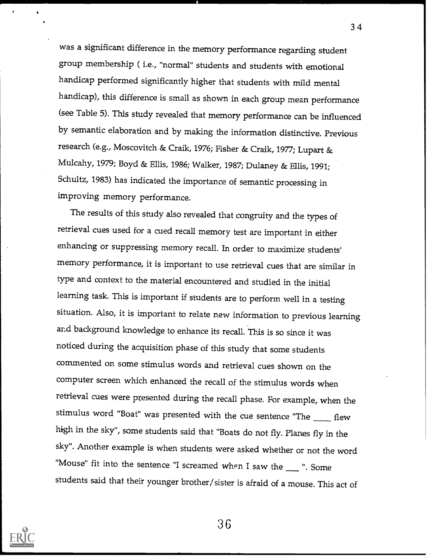was a significant difference in the memory performance regarding student group membership ( i.e., "normal" students and students with emotional handicap performed significantly higher that students with mild mental handicap), this difference is small as shown in each group mean performance (see Table 5). This study revealed that memory performance can be influenced by semantic elaboration and by making the information distinctive. Previous research (e.g., Moscovitch & Craik, 1976; Fisher & Craik, 1977; Lupart & Mulcahy, 1979; Boyd & Ellis, 1986; Walker, 1987; Dulaney & Ellis, 1991; Schultz, 1983) has indicated the importance of semantic processing in improving memory performance.

The results of this study also revealed that congruity and the types of retrieval cues used for a cued recall memory test are important in either enhancing or suppressing memory recall. In order to maximize students' memory performance, it is important to use retrieval cues that are similar in type and context to the material encountered and studied in the initial learning task. This is important if students are to perform well in a testing situation. Also, it is important to relate new information to previous learning and background knowledge to enhance its recall. This is so since it was noticed during the acquisition phase of this study that some students commented on some stimulus words and retrieval cues shown on the computer screen which enhanced the recall of the stimulus words when retrieval cues were presented during the recall phase. For example, when the stimulus word "Boat" was presented with the cue sentence "The  $f_{\text{max}}$  flew high in the sky", some students said that "Boats do not fly. Planes fly in the sky". Another example is when students were asked whether or not the word "Mouse" fit into the sentence "I screamed when I saw the  $\_\_\_\$ ". Some students said that their younger brother/sister is afraid of a mouse. This act of



3G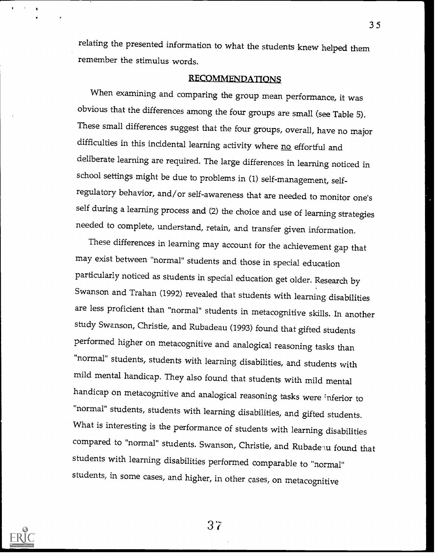relating the presented information to what the students knew helped them remember the stimulus words.

# RECOMMENDATIONS

When examining and comparing the group mean performance, it was obvious that the differences among the four groups are small (see Table 5). These small differences suggest that the four groups, overall, have no major difficulties in this incidental learning activity where no effortful and deliberate learning are required. The large differences in learning noticed in school settings might be due to problems in (1) self-management, selfregulatory behavior, and/or self-awareness that are needed to monitor one's self during a learning process and (2) the choice and use of learning strategies needed to complete, understand, retain, and transfer given information.

These differences in learning may account for the achievement gap that may exist between "normal" students and those in special education particularly noticed as students in special education get older. Research by Swanson and Trahan (1992) revealed that students with learning disabilities are less proficient than "normal" students in metacognitive skills. In another study Swanson, Christie, and Rubadeau (1993) found that gifted students performed higher on metacognitive and analogical reasoning tasks than "normal" students, students with learning disabilities, and students with mild mental handicap. They also found that students with mild mental handicap on metacognitive and analogical reasoning tasks were inferior to "normal" students, students with learning disabilities, and gifted students. What is interesting is the performance of students with learning disabilities compared to "normal" students. Swanson, Christie, and Rubade u found that students with learning disabilities performed comparable to "normal" students, in some cases, and higher, in other cases, on metacognitive

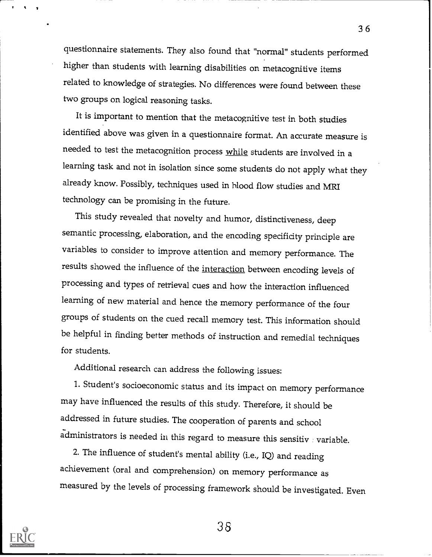questionnaire statements. They also found that "normal" students performed higher than students with learning disabilities on metacognitive items related to knowledge of strategies. No differences were found between these two groups on logical reasoning tasks.

It is important to mention that the metacognitive test in both studies identified above was given in a questionnaire format. An accurate measure is needed to test the metacognition process while students are involved in a learning task and not in isolation since some students do not apply what they already know. Possibly, techniques used in blood flow studies and MRI technology can be promising in the future.

This study revealed that novelty and humor, distinctiveness, deep semantic processing, elaboration, and the encoding specificity principle are variables to consider to improve attention and memory performance. The results showed the influence of the interaction between encoding levels of processing and types of retrieval cues and how the interaction influenced learning of new material and hence the memory performance of the four groups of students on the cued recall memory test. This information should be helpful in finding better methods of instruction and remedial techniques for students.

Additional research can address the following issues:

1. Student's socioeconomic status and its impact on memory performance may have influenced the results of this study. Therefore, it should be addressed in future studies. The cooperation of parents and school administrators is needed in this regard to measure this sensitiv  $\pm$  variable.

2. The influence of student's mental ability (i.e., IQ) and reading achievement (oral and comprehension) on memory performance as measured by the levels of processing framework should be investigated. Even



38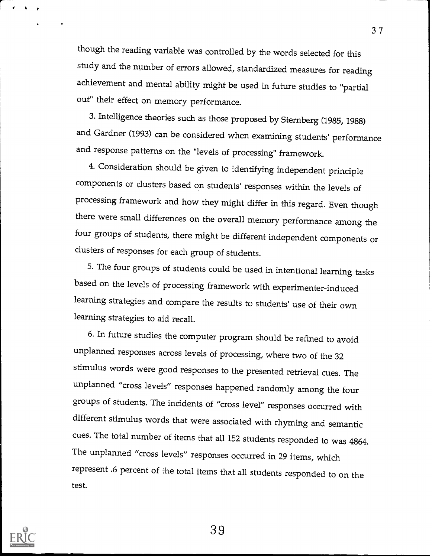though the reading variable was controlled by the words selected for this study and the number of errors allowed, standardized measures for reading achievement and mental ability might be used in future studies to "partial out" their effect on memory performance.

3. Intelligence theories such as those proposed by Sternberg (1985, 1988) and Gardner (1993) can be considered when examining students' performance and response patterns on the "levels of processing" framework.

4. Consideration should be given to identifying independent principle components or dusters based on students' responses within the levels of processing framework and how they might differ in this regard. Even though there were small differences on the overall memory performance among the four groups of students, there might be different independent components or dusters of responses for each group of students.

5. The four groups of students could be used in intentional learning tasks based on the levels of processing framework with experimenter-induced learning strategies and compare the results to students' use of their own learning strategies to aid recall.

6. In future studies the computer program should be refined to avoid unplanned responses across levels of processing, where two of the 32 stimulus words were good responses to the presented retrieval cues. The unplanned "cross levels" responses happened randomly among the four groups of students. The incidents of "cross level" responses occurred with different stimulus words that were associated with rhyming and semantic cues. The total number of items that all 152 students responded to was 4864. The unplanned "cross levels" responses occurred in 29 items, which represent .6 percent of the total items that all students responded to on the test.



39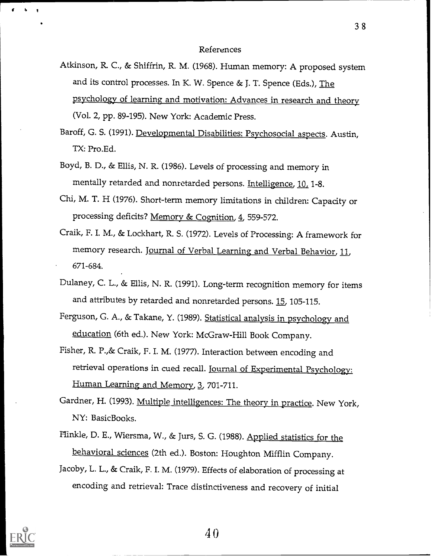#### References

- Atkinson, R. C., & Shiffrin, R. M. (1968). Human memory: A proposed system and its control processes. In K. W. Spence & J. T. Spence (Eds.), The psychology of learning and motivation: Advances in research and theory (Vol. 2, pp. 89-195). New York: Academic Press.
- Baroff, G. S. (1991). Developmental Disabilities: Psychosocial aspects. Austin, TX: Pro.Ed.
- Boyd, B. D., & Ellis, N. R. (1986). Levels of processing and memory in mentally retarded and nonretarded persons. Intelligence, 10, 1-8.
- Chi, M. T. H (1976). Short-term memory limitations in children: Capacity or processing deficits? Memory & Cognition, 4, 559-572.
- Craik, F. I. M., & Lockhart, R. S. (1972). Levels of Processing: A framework for memory research. Journal of Verbal Learning and Verbal Behavior, 11, 671-684.
- Dulaney, C. L., & Ellis, N. R. (1991). Long-term recognition memory for items and attributes by retarded and nonretarded persons. 15, 105-115.
- Ferguson, G. A., & Takane, Y. (1989). Statistical analysis in psychology and education (6th ed.). New York: McGraw-Hill Book Company.
- Fisher, R. P.,& Craik, F. I. M. (1977). Interaction between encoding and retrieval operations in cued recall. Journal of Experimental Psychology: Human Learning and Memory, 3, 701-711.
- Gardner, H. (1993). Multiple intelligences: The theory in practice. New York, NY: BasicBooks.
- Hinkle, D. E., Wiersma, W., & Jurs, S. G. (1988). Applied statistics for the behavioral sciences (2th ed.). Boston: Houghton Mifflin Company.
- Jacoby, L. L., & Craik, F. I. M. (1979). Effects of elaboration of processing at encoding and retrieval: Trace distinctiveness and recovery of initial

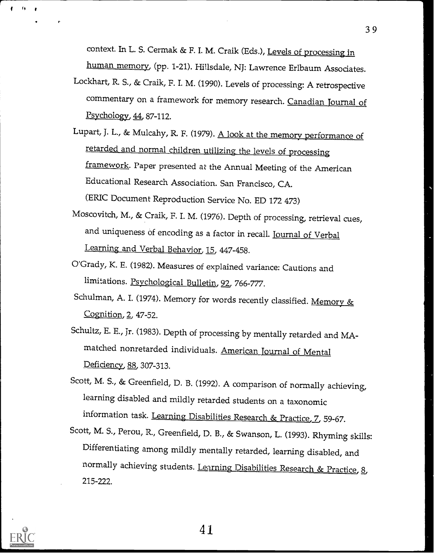context. In L. S. Cermak & F. I. M. Craik (Eds.), Levels of processing in

human memory, (pp. 1-21). Hillsdale, NJ: Lawrence Erlbaum Associates.

- Lockhart, R. S., & Craik, F. I. M. (1990). Levels of processing: A retrospective commentary on a framework for memory research. Canadian Journal of  $P<sub>5</sub>$ ychology, 44, 87-112.
- Lupart, J. L., & Mulcahy, R F. (1979). A look at the memory performance of retarded and normal children utilizing the levels of processing framework. Paper presented at the Annual Meeting of the American Educational Research Association. San Francisco, CA. (ERIC Document Reproduction Service No. ED 172 473)
- Moscovitch, M., & Craik, F. I. M. (1976). Depth of processing, retrieval cues, and uniqueness of encoding as a factor in recall. Journal of Verbal Learning and Verbal Behavior, 15, 447-458.
- O'Grady, K. E. (1982). Measures of explained variance: Cautions and limitations. Psychological Bulletin, 92, 766-777.
- Schulman, A. I. (1974). Memory for words recently classified. Memory & Cognition, 2, 47-52.
- Schultz, E. E., jr. (1983). Depth of processing by mentally retarded and MAmatched nonretarded individuals. American Journal of Mental Deficiency, 88, 307-313.
- Scott, M. S., & Greenfield, D. B. (1992). A comparison of normally achieving, learning disabled and mildly retarded students on a taxonomic information task. Learning Disabilities Research & Practice, Z, 59-67.
- Scott, M. S., Perou, R., Greenfield, D. B., & Swanson, L. (1993). Rhyming skills: Differentiating among mildly mentally retarded, learning disabled, and normally achieving students. Learning Disabilities Research & Practice, 8, 215-222.



**I** I I

41.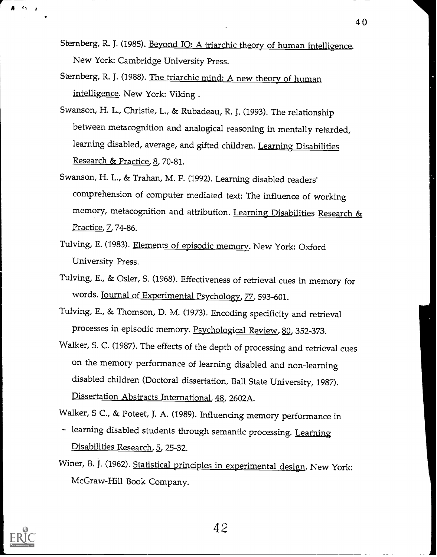Sternberg, R. J. (1985). Beyond IO: A triarchic theory of human intelligence. New York: Cambridge University Press.

- Sternberg, R. J. (1988). The triarchic mind: A new theory of human intelligence. New York: Viking .
- Swanson, H. L., Christie, L., & Rubadeau, R. J. (1993). The relationship between metacognition and analogical reasoning in mentally retarded, learning disabled, average, and gifted children. Learning Disabilities Research & Practice, 8, 70-81.
- Swanson, H. L., & Trahan, M. F. (1992). Learning disabled readers' comprehension of computer mediated text: The influence of working memory, metacognition and attribution. Learning Disabilities Research & Practice, 7, 74-86.
- Tulving, E. (1983). Elements of episodic memory. New York: Oxford University Press.
- Tulving, E., & Osier, S. (1968). Effectiveness of retrieval cues in memory for words. Journal of Experimental Psychology, 77, 593-601.
- Tulving, E., & Thomson, D. M. (1973). Encoding specificity and retrieval processes in episodic memory. Psychological Review, 80, 352-373.
- Walker, S. C. (1987). The effects of the depth of processing and retrieval cues on the memory performance of learning disabled and non-learning disabled children (Doctoral dissertation, Ball State University, 1987). Dissertation Abstracts International, 48, 2602A.

Walker, S C., & Poteet, J. A. (1989). Influencing memory performance in

- learning disabled students through semantic processing. Learning Disabilities Research, 5, 25-32.
- Winer, B. J. (1962). Statistical principles in experimental design. New York: McGraw-Hill Book Company.



42